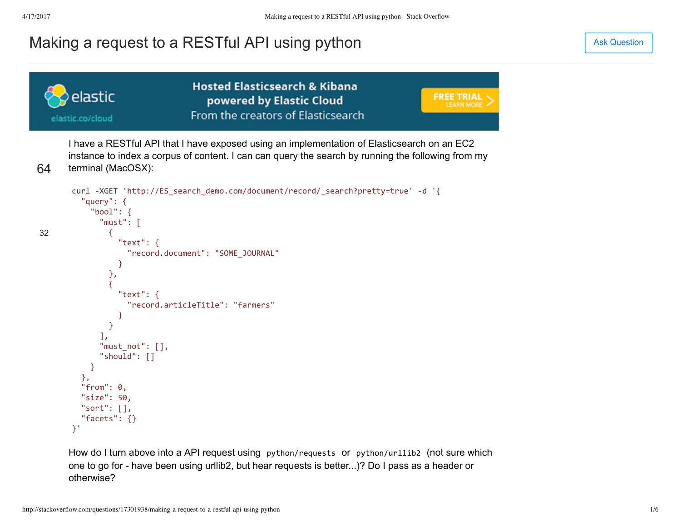# [Making a request to a RESTful API using python](http://stackoverflow.com/questions/17301938/making-a-request-to-a-restful-api-using-python) and an analysis of the set of the set of the [Ask Question](http://stackoverflow.com/questions/ask)

**Hosted Elasticsearch & Kibana** elastic **FREE TRIAL** powered by Elastic Cloud **LEARN MORE** From the creators of Elasticsearch elastic.co/cloud I have a RESTful API that I have exposed using an implementation of Elasticsearch on an EC2 instance to index a corpus of content. I can can query the search by running the following from my 64 terminal (MacOSX): curl ‐XGET 'http://ES\_search\_demo.com/document/record/\_search?pretty=true' ‐d '{ "query": { "bool": { "must": [ 32 { "text": { "record.document": "SOME\_JOURNAL" } }, { "text": { "record.articleTitle": "farmers" } } ], "must\_not": [], "should": [] } }, "from": 0, "size": 50, "sort": [], "facets": {} }'

How do I turn above into a API request using python/requests or python/urllib2 (not sure which one to go for have been using urllib2, but hear requests is better...)? Do I pass as a header or otherwise?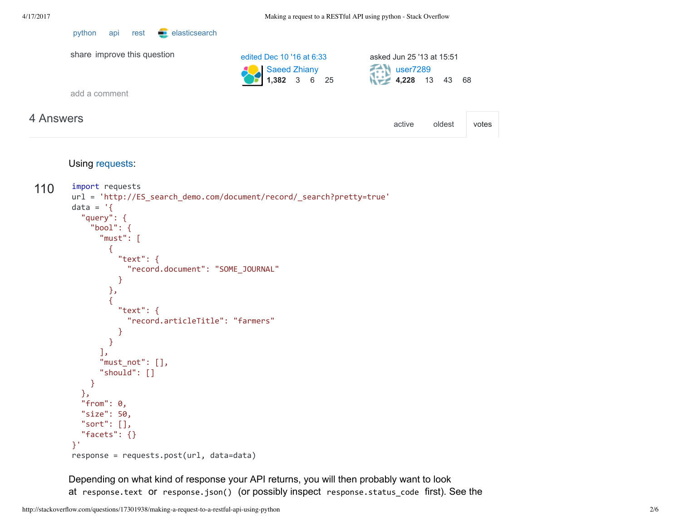| 4 Answers                   |                                                           | active                                                  | oldest | votes |
|-----------------------------|-----------------------------------------------------------|---------------------------------------------------------|--------|-------|
| add a comment               |                                                           |                                                         |        |       |
| share improve this question | edited Dec 10 '16 at 6:33<br>Saeed Zhiany<br>1,382 3 6 25 | asked Jun 25 '13 at 15:51<br>user7289<br>4,228 13 43 68 |        |       |

#### Using [requests:](http://docs.python-requests.org/en/latest/)

[python](http://stackoverflow.com/questions/tagged/python) [api](http://stackoverflow.com/questions/tagged/api) [rest](http://stackoverflow.com/questions/tagged/rest) **e** [elasticsearch](http://stackoverflow.com/questions/tagged/elasticsearch)

```
110
            import requests
            url = 'http://ES_search_demo.com/document/record/_search?pretty=true'
            data = \left\{ \right\}  "query": {
                      "bool": {
                           "must": [
                                {
                                     "text": {
                                          "record.document": "SOME_JOURNAL"
                                     }
                                },
                                {
                                     "text": {
                                          "record.articleTitle": "farmers"
                                     }
                                }
                           ],
                           "must_not": [],
                           "should": []
                      }
                 },
                 "from": 0,
                 "size": 50,
                 "sort": [],
                 "facets": {}
            }'
            response = requests.post(url, data=data)
```
Depending on what kind of response your API returns, you will then probably want to look at response.text or response.json() (or possibly inspect response.status\_code first). See the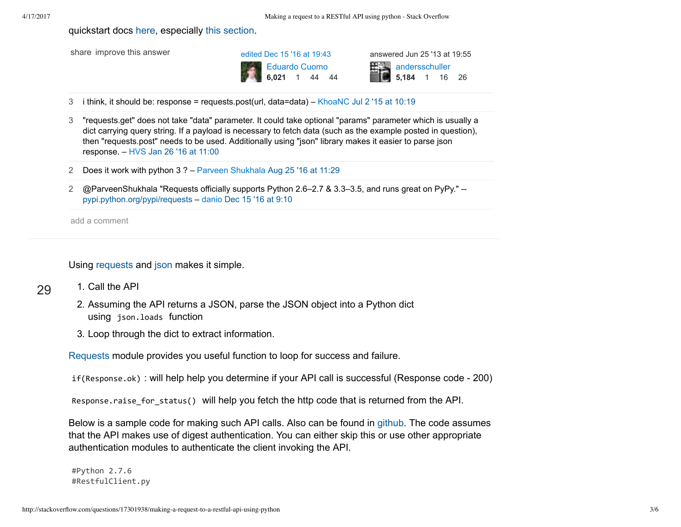quickstart docs [here](http://docs.python-requests.org/en/latest/user/quickstart/), especially [this section.](http://docs.python-requests.org/en/latest/user/quickstart/#more-complicated-post-requests)



3 i think, it should be: response = requests.post(url, data=data) – [KhoaNC](http://stackoverflow.com/users/2395974/khoanc) [Jul 2 '15 at 10:19](http://stackoverflow.com/questions/17301938/making-a-request-to-a-restful-api-using-python#comment50369472_17306347)

- 3 "requests.get" does not take "data" parameter. It could take optional "params" parameter which is usually a dict carrying query string. If a payload is necessary to fetch data (such as the example posted in question), then "requests.post" needs to be used. Additionally using "json" library makes it easier to parse json response. – [HVS](http://stackoverflow.com/users/318700/hvs) [Jan 26 '16 at 11:00](http://stackoverflow.com/questions/17301938/making-a-request-to-a-restful-api-using-python#comment57751485_17306347)
- 2 Does it work with python 3 ? – [Parveen Shukhala](http://stackoverflow.com/users/5733964/parveen-shukhala) [Aug 25 '16 at 11:29](http://stackoverflow.com/questions/17301938/making-a-request-to-a-restful-api-using-python#comment65632093_17306347)
- 2 @ParveenShukhala "Requests officially supports Python 2.6–2.7 & 3.3–3.5, and runs great on PyPy." [pypi.python.org/pypi/requests](https://pypi.python.org/pypi/requests/) – [danio](http://stackoverflow.com/users/12663/danio) [Dec 15 '16 at 9:10](http://stackoverflow.com/questions/17301938/making-a-request-to-a-restful-api-using-python#comment69521451_17306347)

add a comment

1. Call the API

Using [requests](http://www.python-requests.org/en/latest/) and [json](https://docs.python.org/2/library/json.html) makes it simple.

### 29

- 2. Assuming the API returns a JSON, parse the JSON object into a Python dict using json.loads function
- 3. Loop through the dict to extract information.

[Requests](http://www.python-requests.org/en/latest/) module provides you useful function to loop for success and failure.

if(Response.ok) : will help help you determine if your API call is successful (Response code 200)

Response.raise\_for\_status() will help you fetch the http code that is returned from the API.

Below is a sample code for making such API calls. Also can be found in [github](https://gist.github.com/vinovator/98b0fb7eb30805595bd6). The code assumes that the API makes use of digest authentication. You can either skip this or use other appropriate authentication modules to authenticate the client invoking the API.

#Python 2.7.6 #RestfulClient.py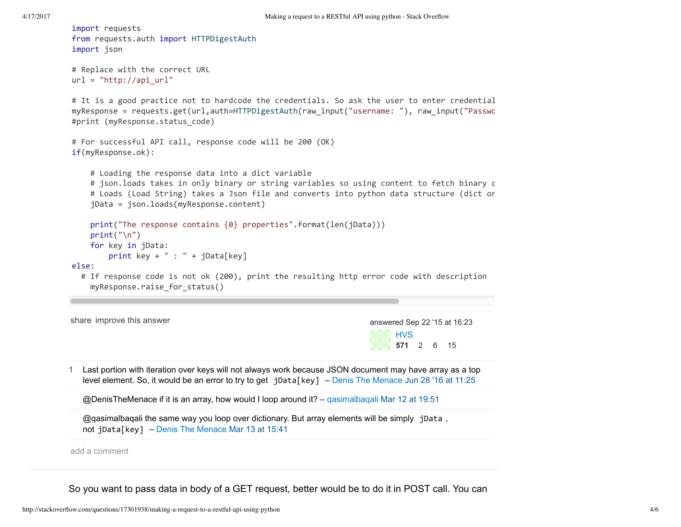```
HVS
                                                                                  571 2 6 15
import requests
from requests.auth import HTTPDigestAuth
import json
# Replace with the correct URL
url = "http://api url"# It is a good practice not to hardcode the credentials. So ask the user to enter credential
myResponse = requests.get(url,auth=HTTPDigestAuth(raw_input("username: "), raw_input("Passwo
#print (myResponse.status_code)
# For successful API call, response code will be 200 (OK)
if(myResponse.ok):
         # Loading the response data into a dict variable
     # json.loads takes in only binary or string variables so using content to fetch binary c
     # Loads (Load String) takes a Json file and converts into python data structure (dict or
         jData = json.loads(myResponse.content)
         print("The response contains {0} properties".format(len(jData)))
     print("\n'\n    for key in jData:
          print key + " : " + jData[key]
else:
     # If response code is not ok (200), print the resulting http error code with description
         myResponse.raise_for_status()
shareimprove this answer and the state of the state of the state of the state of the state of the state of the state of the state of the state of the state of the state of the state of the state of the state of the state 
1 Last portion with iteration over keys will not always work because JSON document may have array as a top
   level element. So, it would be an error to try to get jData[key] – Denis The Menace Jun 28 '16 at 11:25
      @DenisTheMenace if it is an array, how would I loop around it? – qasimalbaqali Mar 12 at 19:51
   @qqasimalbaqali the same way you loop over dictionary. But array elements will be simply jData,
   not jData[key] – Denis The Menace Mar 13 at 15:41
add a comment
```
So you want to pass data in body of a GET request, better would be to do it in POST call. You can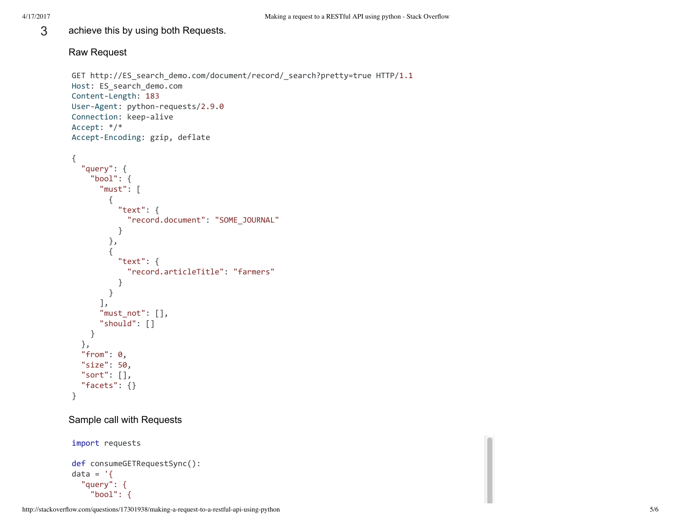3 achieve this by using both Requests.

### Raw Request

```
GET http://ES search demo.com/document/record/ search?pretty=true HTTP/1.1
Host: ES_search_demo.com
Content‐Length: 183
User‐Agent: python‐requests/2.9.0
Connection: keep‐alive
Accept: */*
Accept‐Encoding: gzip, deflate
```

```
{
     "query": {
          "bool": {
               "must": [
                     {
                           "text": {
                                "record.document": "SOME_JOURNAL"
                          }
                     },
                     {
                          "text": {
                                "record.articleTitle": "farmers"
                           }
                     }
                ],
                "must_not": [],
                "should": []
          }
     },
     "from": 0,
     "size": 50,
    "sort": [],
     "facets": {}
}
```
## Sample call with Requests

```
import requests
```

```
def consumeGETRequestSync():
data = \left\{ \right.  "query": {
         "bool": {
```